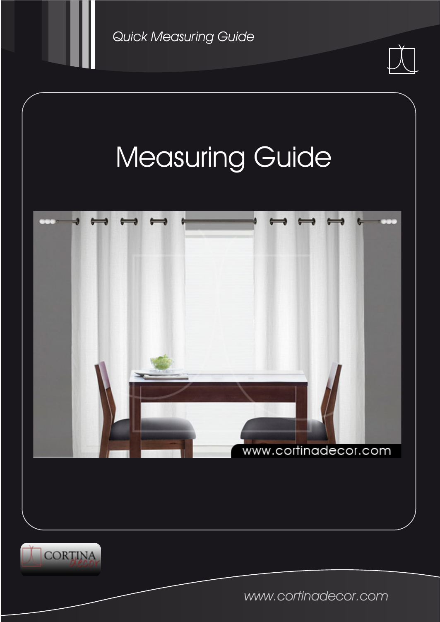







www.cortinadecor.com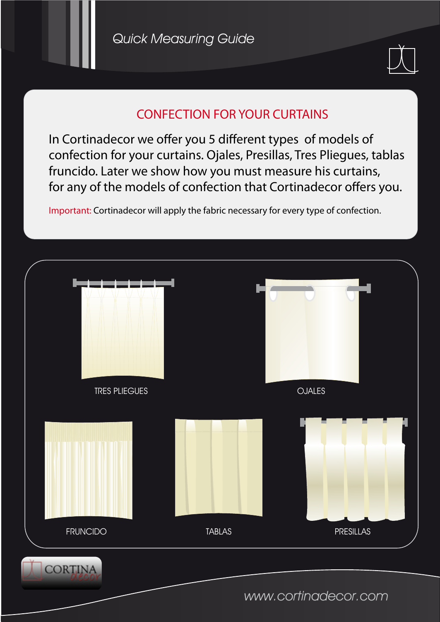

## CONFECTION FOR YOUR CURTAINS

In Cortinadecor we offer you 5 different types of models of confection for your curtains. Ojales, Presillas, Tres Pliegues, tablas fruncido. Later we show how you must measure his curtains, for any of the models of confection that Cortinadecor offers you.

Important: Cortinadecor will apply the fabric necessary for every type of confection.

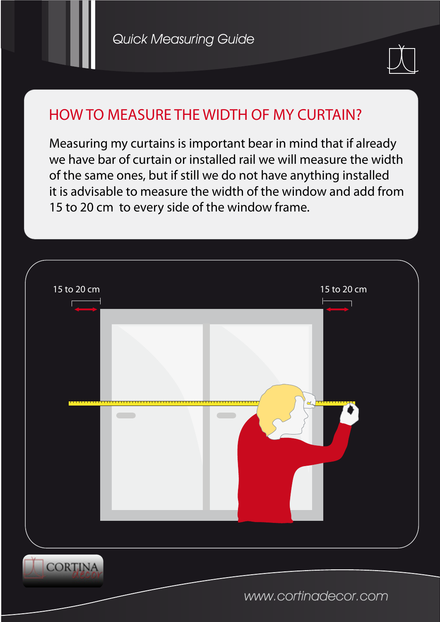

## HOW TO MEASURE THE WIDTH OF MY CURTAIN?

Measuring my curtains is important bear in mind that if already we have bar of curtain or installed rail we will measure the width of the same ones, but if still we do not have anything installed it is advisable to measure the width of the window and add from 15 to 20 cm to every side of the window frame.